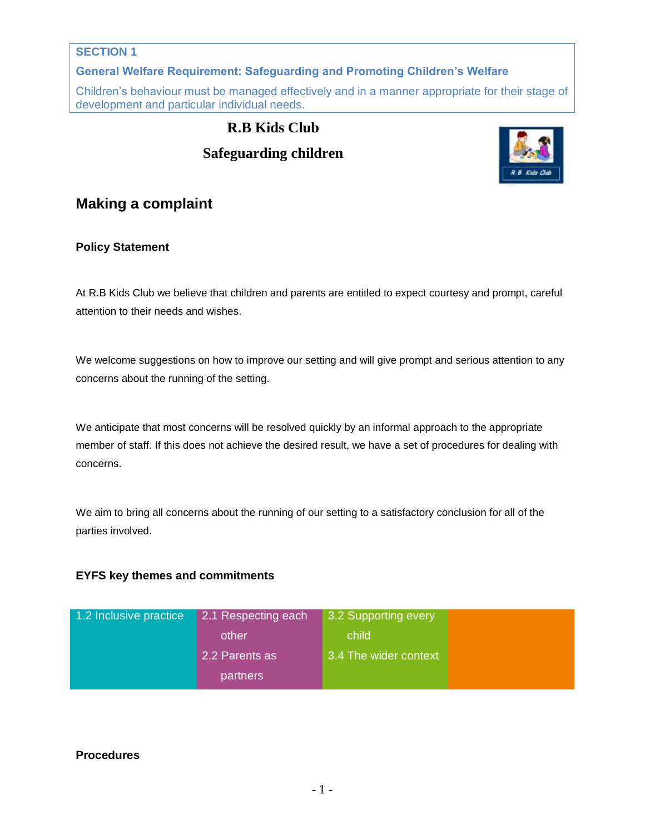# **SECTION 1**

**General Welfare Requirement: Safeguarding and Promoting Children's Welfare**

Children's behaviour must be managed effectively and in a manner appropriate for their stage of development and particular individual needs.

# **R.B Kids Club Safeguarding children**



# **Making a complaint**

## **Policy Statement**

At R.B Kids Club we believe that children and parents are entitled to expect courtesy and prompt, careful attention to their needs and wishes.

We welcome suggestions on how to improve our setting and will give prompt and serious attention to any concerns about the running of the setting.

We anticipate that most concerns will be resolved quickly by an informal approach to the appropriate member of staff. If this does not achieve the desired result, we have a set of procedures for dealing with concerns.

We aim to bring all concerns about the running of our setting to a satisfactory conclusion for all of the parties involved.

## **EYFS key themes and commitments**

| 1.2 Inclusive practice | 2.1 Respecting each | 3.2 Supporting every  |  |
|------------------------|---------------------|-----------------------|--|
|                        | other               | child                 |  |
|                        | 2.2 Parents as      | 3.4 The wider context |  |
|                        | partners            |                       |  |

## **Procedures**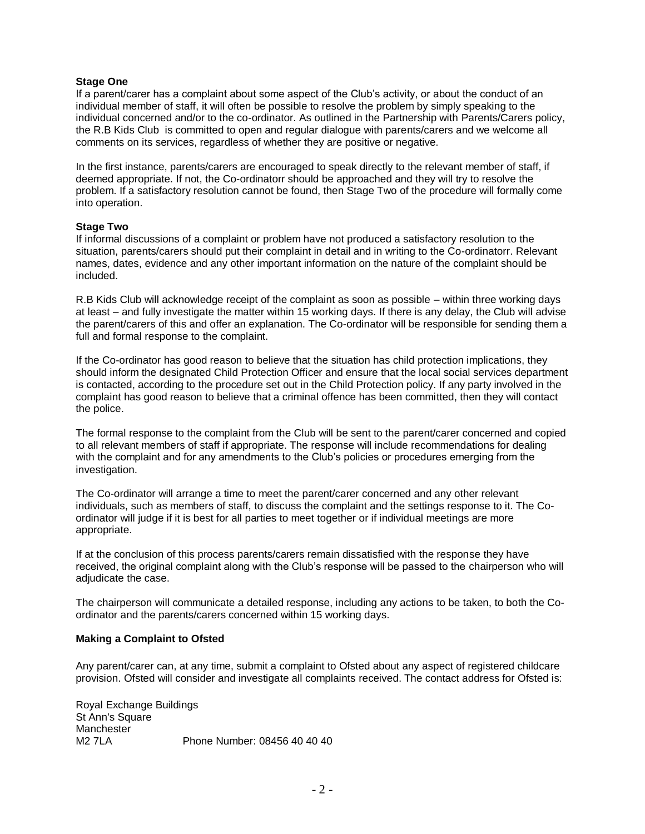#### **Stage One**

If a parent/carer has a complaint about some aspect of the Club's activity, or about the conduct of an individual member of staff, it will often be possible to resolve the problem by simply speaking to the individual concerned and/or to the co-ordinator. As outlined in the Partnership with Parents/Carers policy, the R.B Kids Club is committed to open and regular dialogue with parents/carers and we welcome all comments on its services, regardless of whether they are positive or negative.

In the first instance, parents/carers are encouraged to speak directly to the relevant member of staff, if deemed appropriate. If not, the Co-ordinatorr should be approached and they will try to resolve the problem. If a satisfactory resolution cannot be found, then Stage Two of the procedure will formally come into operation.

#### **Stage Two**

If informal discussions of a complaint or problem have not produced a satisfactory resolution to the situation, parents/carers should put their complaint in detail and in writing to the Co-ordinatorr. Relevant names, dates, evidence and any other important information on the nature of the complaint should be included.

R.B Kids Club will acknowledge receipt of the complaint as soon as possible – within three working days at least – and fully investigate the matter within 15 working days. If there is any delay, the Club will advise the parent/carers of this and offer an explanation. The Co-ordinator will be responsible for sending them a full and formal response to the complaint.

If the Co-ordinator has good reason to believe that the situation has child protection implications, they should inform the designated Child Protection Officer and ensure that the local social services department is contacted, according to the procedure set out in the Child Protection policy. If any party involved in the complaint has good reason to believe that a criminal offence has been committed, then they will contact the police.

The formal response to the complaint from the Club will be sent to the parent/carer concerned and copied to all relevant members of staff if appropriate. The response will include recommendations for dealing with the complaint and for any amendments to the Club's policies or procedures emerging from the investigation.

The Co-ordinator will arrange a time to meet the parent/carer concerned and any other relevant individuals, such as members of staff, to discuss the complaint and the settings response to it. The Coordinator will judge if it is best for all parties to meet together or if individual meetings are more appropriate.

If at the conclusion of this process parents/carers remain dissatisfied with the response they have received, the original complaint along with the Club's response will be passed to the chairperson who will adjudicate the case.

The chairperson will communicate a detailed response, including any actions to be taken, to both the Coordinator and the parents/carers concerned within 15 working days.

#### **Making a Complaint to Ofsted**

Any parent/carer can, at any time, submit a complaint to Ofsted about any aspect of registered childcare provision. Ofsted will consider and investigate all complaints received. The contact address for Ofsted is:

Royal Exchange Buildings St Ann's Square Manchester<br>M2 7LA Phone Number: 08456 40 40 40